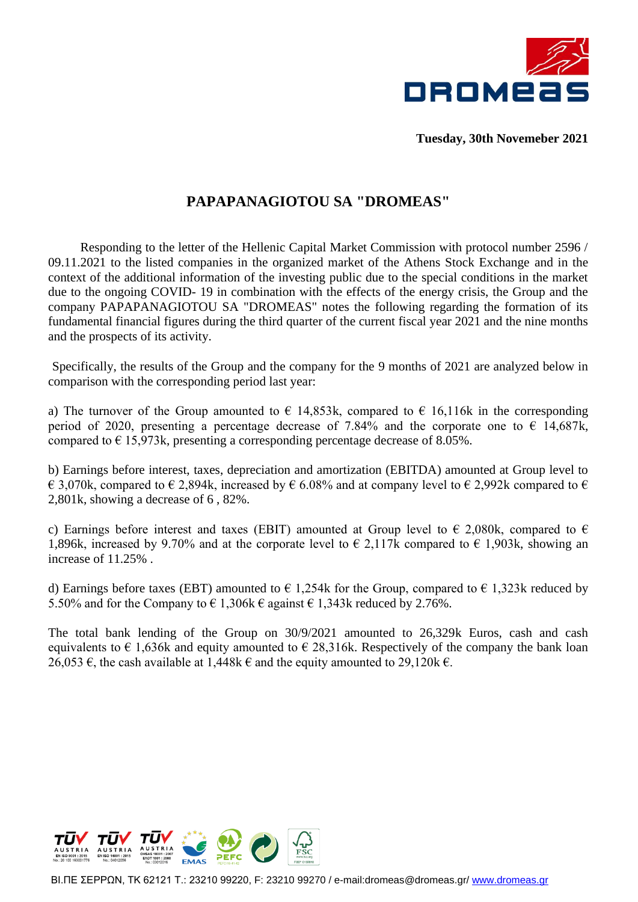

**Tuesday, 30th Novemeber 2021**

## **PAPAPANAGIOTOU SA "DROMEAS"**

 Responding to the letter of the Hellenic Capital Market Commission with protocol number 2596 / 09.11.2021 to the listed companies in the organized market of the Athens Stock Exchange and in the context of the additional information of the investing public due to the special conditions in the market due to the ongoing COVID- 19 in combination with the effects of the energy crisis, the Group and the company PAPAPANAGIOTOU SA "DROMEAS" notes the following regarding the formation of its fundamental financial figures during the third quarter of the current fiscal year 2021 and the nine months and the prospects of its activity.

Specifically, the results of the Group and the company for the 9 months of 2021 are analyzed below in comparison with the corresponding period last year:

a) The turnover of the Group amounted to  $\epsilon$  14,853k, compared to  $\epsilon$  16,116k in the corresponding period of 2020, presenting a percentage decrease of 7.84% and the corporate one to  $\epsilon$  14,687k, compared to  $\epsilon$  15,973k, presenting a corresponding percentage decrease of 8.05%.

b) Earnings before interest, taxes, depreciation and amortization (EBITDA) amounted at Group level to € 3,070k, compared to  $\in$  2,894k, increased by  $\in$  6.08% and at company level to  $\in$  2,992k compared to  $\in$ 2,801k, showing a decrease of 6 , 82%.

c) Earnings before interest and taxes (EBIT) amounted at Group level to  $\epsilon$  2,080k, compared to  $\epsilon$ 1,896k, increased by 9.70% and at the corporate level to  $\epsilon$  2,117k compared to  $\epsilon$  1,903k, showing an increase of 11.25% .

d) Earnings before taxes (EBT) amounted to  $\epsilon$  1,254k for the Group, compared to  $\epsilon$  1,323k reduced by 5.50% and for the Company to  $\epsilon$  1,306k  $\epsilon$  against  $\epsilon$  1,343k reduced by 2.76%.

The total bank lending of the Group on 30/9/2021 amounted to 26,329k Euros, cash and cash equivalents to  $\epsilon$  1,636k and equity amounted to  $\epsilon$  28,316k. Respectively of the company the bank loan 26,053 €, the cash available at 1,448k € and the equity amounted to 29,120k €.

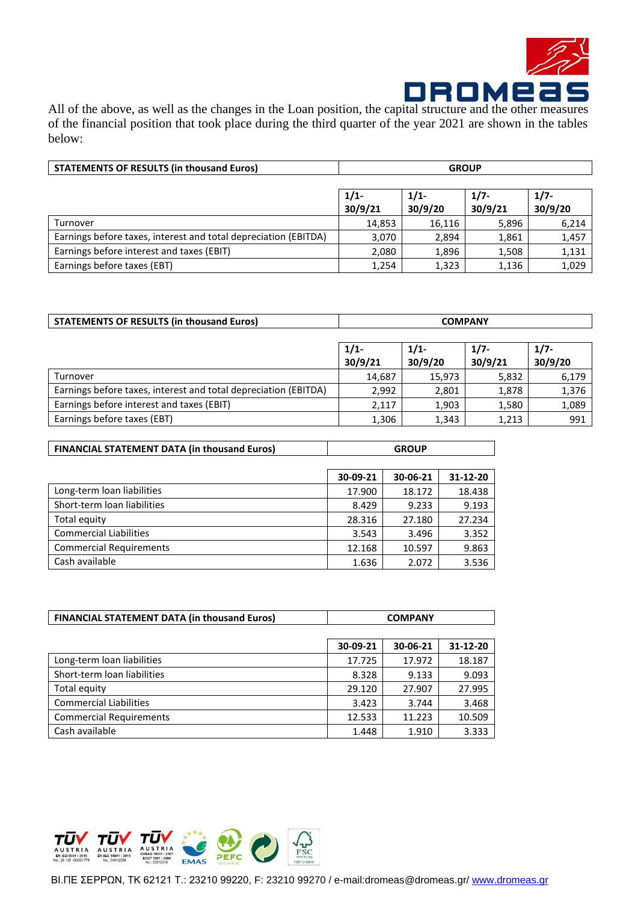

All of the above, as well as the changes in the Loan position, the capital structure and the other measures of the financial position that took place during the third quarter of the year 2021 are shown in the tables below:

| <b>STATEMENTS OF RESULTS (in thousand Euros)</b>                | <b>GROUP</b> |         |         |         |
|-----------------------------------------------------------------|--------------|---------|---------|---------|
|                                                                 |              |         |         |         |
|                                                                 | 1/1          | 1/1     | $1/7 -$ | $1/7 -$ |
|                                                                 | 30/9/21      | 30/9/20 | 30/9/21 | 30/9/20 |
| Turnover                                                        | 14,853       | 16,116  | 5,896   | 6,214   |
| Earnings before taxes, interest and total depreciation (EBITDA) | 3,070        | 2.894   | 1,861   | 1,457   |
| Earnings before interest and taxes (EBIT)                       | 2,080        | 1,896   | 1,508   | 1,131   |
| Earnings before taxes (EBT)                                     | 1,254        | 1,323   | 1,136   | 1,029   |

| <b>STATEMENTS OF RESULTS (in thousand Euros)</b>                | <b>COMPANY</b> |                |                    |                    |
|-----------------------------------------------------------------|----------------|----------------|--------------------|--------------------|
|                                                                 | 1/1<br>30/9/21 | 1/1<br>30/9/20 | $1/7 -$<br>30/9/21 | $1/7 -$<br>30/9/20 |
| Turnover                                                        | 14,687         | 15,973         | 5,832              | 6,179              |
| Earnings before taxes, interest and total depreciation (EBITDA) | 2.992          | 2.801          | 1,878              | 1,376              |
| Earnings before interest and taxes (EBIT)                       | 2.117          | 1,903          | 1,580              | 1,089              |
| Earnings before taxes (EBT)                                     | 1,306          | 1,343          | 1,213              | 991                |

| <b>FINANCIAL STATEMENT DATA (in thousand Euros)</b> | <b>GROUP</b> |
|-----------------------------------------------------|--------------|
|                                                     |              |

|                                | 30-09-21 | 30-06-21 | 31-12-20 |
|--------------------------------|----------|----------|----------|
| Long-term loan liabilities     | 17.900   | 18.172   | 18.438   |
| Short-term loan liabilities    | 8.429    | 9.233    | 9.193    |
| Total equity                   | 28.316   | 27.180   | 27.234   |
| <b>Commercial Liabilities</b>  | 3.543    | 3.496    | 3.352    |
| <b>Commercial Requirements</b> | 12.168   | 10.597   | 9.863    |
| Cash available                 | 1.636    | 2.072    | 3.536    |

| <b>FINANCIAL STATEMENT DATA (in thousand Euros)</b> | <b>COMPANY</b> |          |          |
|-----------------------------------------------------|----------------|----------|----------|
|                                                     |                |          |          |
|                                                     | 30-09-21       | 30-06-21 | 31-12-20 |
| Long-term loan liabilities                          | 17.725         | 17.972   | 18.187   |
| Short-term loan liabilities                         | 8.328          | 9.133    | 9.093    |
| Total equity                                        | 29.120         | 27.907   | 27.995   |
| <b>Commercial Liabilities</b>                       | 3.423          | 3.744    | 3.468    |
| <b>Commercial Requirements</b>                      | 12.533         | 11.223   | 10.509   |
| Cash available                                      | 1.448          | 1.910    | 3.333    |

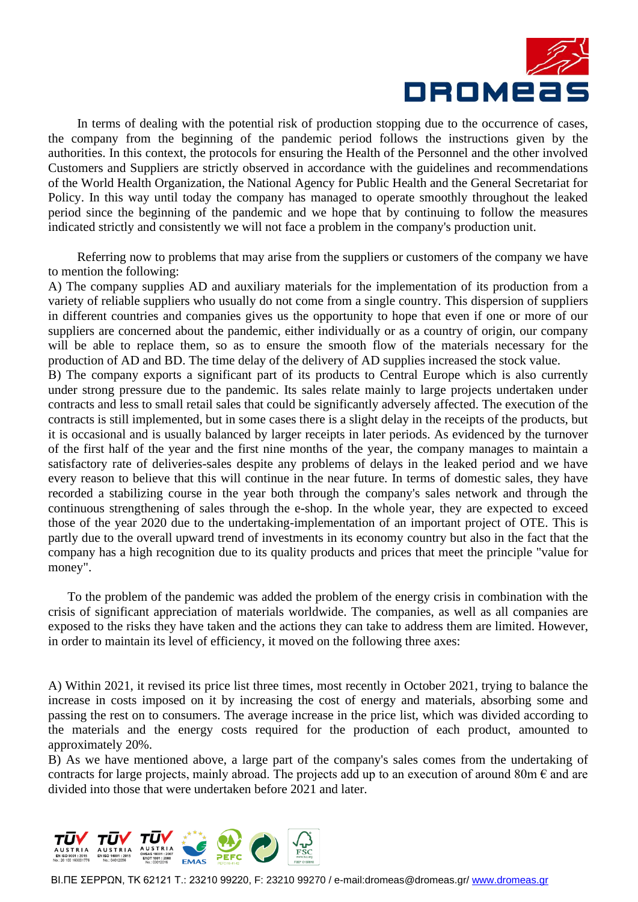

 In terms of dealing with the potential risk of production stopping due to the occurrence of cases, the company from the beginning of the pandemic period follows the instructions given by the authorities. In this context, the protocols for ensuring the Health of the Personnel and the other involved Customers and Suppliers are strictly observed in accordance with the guidelines and recommendations of the World Health Organization, the National Agency for Public Health and the General Secretariat for Policy. In this way until today the company has managed to operate smoothly throughout the leaked period since the beginning of the pandemic and we hope that by continuing to follow the measures indicated strictly and consistently we will not face a problem in the company's production unit.

 Referring now to problems that may arise from the suppliers or customers of the company we have to mention the following:

A) The company supplies AD and auxiliary materials for the implementation of its production from a variety of reliable suppliers who usually do not come from a single country. This dispersion of suppliers in different countries and companies gives us the opportunity to hope that even if one or more of our suppliers are concerned about the pandemic, either individually or as a country of origin, our company will be able to replace them, so as to ensure the smooth flow of the materials necessary for the production of AD and BD. The time delay of the delivery of AD supplies increased the stock value.

Β) The company exports a significant part of its products to Central Europe which is also currently under strong pressure due to the pandemic. Its sales relate mainly to large projects undertaken under contracts and less to small retail sales that could be significantly adversely affected. The execution of the contracts is still implemented, but in some cases there is a slight delay in the receipts of the products, but it is occasional and is usually balanced by larger receipts in later periods. As evidenced by the turnover of the first half of the year and the first nine months of the year, the company manages to maintain a satisfactory rate of deliveries-sales despite any problems of delays in the leaked period and we have every reason to believe that this will continue in the near future. In terms of domestic sales, they have recorded a stabilizing course in the year both through the company's sales network and through the continuous strengthening of sales through the e-shop. In the whole year, they are expected to exceed those of the year 2020 due to the undertaking-implementation of an important project of OTE. This is partly due to the overall upward trend of investments in its economy country but also in the fact that the company has a high recognition due to its quality products and prices that meet the principle "value for money".

 To the problem of the pandemic was added the problem of the energy crisis in combination with the crisis of significant appreciation of materials worldwide. The companies, as well as all companies are exposed to the risks they have taken and the actions they can take to address them are limited. However, in order to maintain its level of efficiency, it moved on the following three axes:

A) Within 2021, it revised its price list three times, most recently in October 2021, trying to balance the increase in costs imposed on it by increasing the cost of energy and materials, absorbing some and passing the rest on to consumers. The average increase in the price list, which was divided according to the materials and the energy costs required for the production of each product, amounted to approximately 20%.

B) As we have mentioned above, a large part of the company's sales comes from the undertaking of contracts for large projects, mainly abroad. The projects add up to an execution of around 80m  $\epsilon$  and are divided into those that were undertaken before 2021 and later.



ΒΙ.ΠΕ ΣΕΡΡΩΝ, ΤΚ 62121 Τ.: 23210 99220, F: 23210 99270 / e-mail:dromeas@dromeas.gr/ [www.dromeas.gr](http://www.dromeas.gr/)